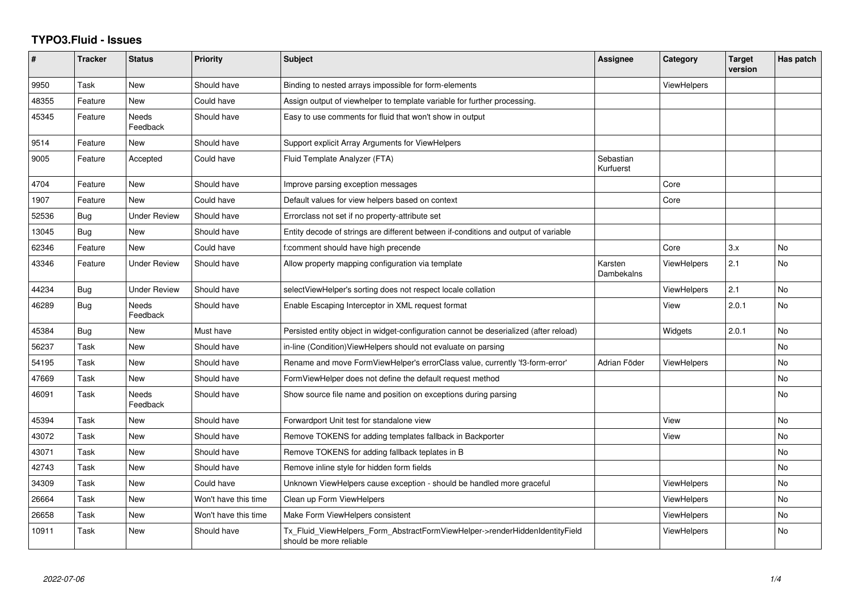## **TYPO3.Fluid - Issues**

| #     | <b>Tracker</b> | <b>Status</b>            | <b>Priority</b>      | <b>Subject</b>                                                                                         | Assignee               | Category           | <b>Target</b><br>version | Has patch |
|-------|----------------|--------------------------|----------------------|--------------------------------------------------------------------------------------------------------|------------------------|--------------------|--------------------------|-----------|
| 9950  | Task           | <b>New</b>               | Should have          | Binding to nested arrays impossible for form-elements                                                  |                        | ViewHelpers        |                          |           |
| 48355 | Feature        | <b>New</b>               | Could have           | Assign output of viewhelper to template variable for further processing.                               |                        |                    |                          |           |
| 45345 | Feature        | <b>Needs</b><br>Feedback | Should have          | Easy to use comments for fluid that won't show in output                                               |                        |                    |                          |           |
| 9514  | Feature        | New                      | Should have          | Support explicit Array Arguments for ViewHelpers                                                       |                        |                    |                          |           |
| 9005  | Feature        | Accepted                 | Could have           | Fluid Template Analyzer (FTA)                                                                          | Sebastian<br>Kurfuerst |                    |                          |           |
| 4704  | Feature        | New                      | Should have          | Improve parsing exception messages                                                                     |                        | Core               |                          |           |
| 1907  | Feature        | New                      | Could have           | Default values for view helpers based on context                                                       |                        | Core               |                          |           |
| 52536 | Bug            | Under Review             | Should have          | Errorclass not set if no property-attribute set                                                        |                        |                    |                          |           |
| 13045 | Bug            | <b>New</b>               | Should have          | Entity decode of strings are different between if-conditions and output of variable                    |                        |                    |                          |           |
| 62346 | Feature        | <b>New</b>               | Could have           | f:comment should have high precende                                                                    |                        | Core               | 3.x                      | <b>No</b> |
| 43346 | Feature        | <b>Under Review</b>      | Should have          | Allow property mapping configuration via template                                                      | Karsten<br>Dambekalns  | <b>ViewHelpers</b> | 2.1                      | <b>No</b> |
| 44234 | Bug            | <b>Under Review</b>      | Should have          | selectViewHelper's sorting does not respect locale collation                                           |                        | <b>ViewHelpers</b> | 2.1                      | No        |
| 46289 | Bug            | Needs<br>Feedback        | Should have          | Enable Escaping Interceptor in XML request format                                                      |                        | View               | 2.0.1                    | <b>No</b> |
| 45384 | Bug            | New                      | Must have            | Persisted entity object in widget-configuration cannot be deserialized (after reload)                  |                        | Widgets            | 2.0.1                    | <b>No</b> |
| 56237 | Task           | New                      | Should have          | in-line (Condition) View Helpers should not evaluate on parsing                                        |                        |                    |                          | No        |
| 54195 | Task           | <b>New</b>               | Should have          | Rename and move FormViewHelper's errorClass value, currently 'f3-form-error'                           | Adrian Föder           | <b>ViewHelpers</b> |                          | <b>No</b> |
| 47669 | Task           | New                      | Should have          | FormViewHelper does not define the default request method                                              |                        |                    |                          | No        |
| 46091 | Task           | <b>Needs</b><br>Feedback | Should have          | Show source file name and position on exceptions during parsing                                        |                        |                    |                          | <b>No</b> |
| 45394 | Task           | New                      | Should have          | Forwardport Unit test for standalone view                                                              |                        | View               |                          | <b>No</b> |
| 43072 | Task           | New                      | Should have          | Remove TOKENS for adding templates fallback in Backporter                                              |                        | View               |                          | <b>No</b> |
| 43071 | Task           | New                      | Should have          | Remove TOKENS for adding fallback teplates in B                                                        |                        |                    |                          | No        |
| 42743 | Task           | New                      | Should have          | Remove inline style for hidden form fields                                                             |                        |                    |                          | No        |
| 34309 | Task           | New                      | Could have           | Unknown ViewHelpers cause exception - should be handled more graceful                                  |                        | <b>ViewHelpers</b> |                          | No        |
| 26664 | Task           | New                      | Won't have this time | Clean up Form ViewHelpers                                                                              |                        | <b>ViewHelpers</b> |                          | No        |
| 26658 | Task           | New                      | Won't have this time | Make Form ViewHelpers consistent                                                                       |                        | <b>ViewHelpers</b> |                          | <b>No</b> |
| 10911 | Task           | New                      | Should have          | Tx_Fluid_ViewHelpers_Form_AbstractFormViewHelper->renderHiddenIdentityField<br>should be more reliable |                        | ViewHelpers        |                          | No.       |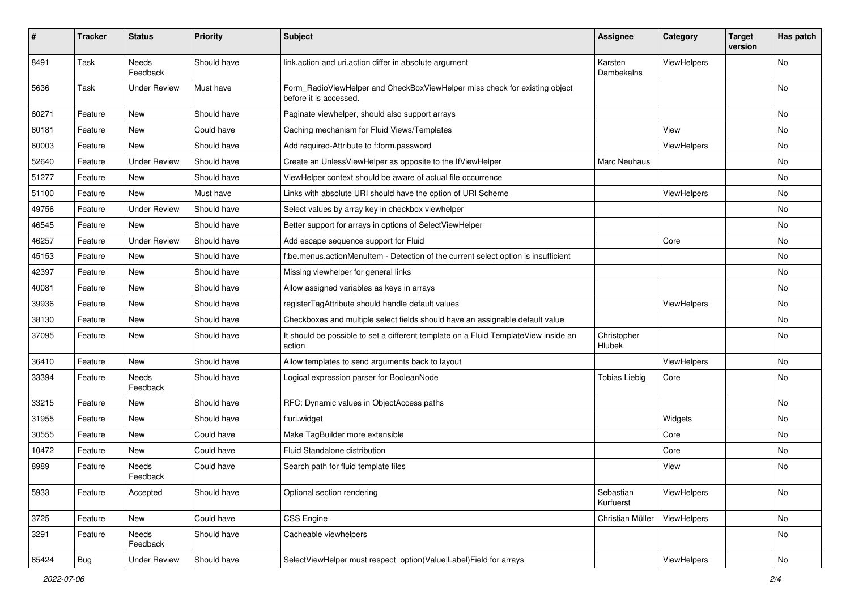| $\sharp$ | <b>Tracker</b> | <b>Status</b>            | <b>Priority</b> | <b>Subject</b>                                                                                       | <b>Assignee</b>        | Category    | <b>Target</b><br>version | Has patch |
|----------|----------------|--------------------------|-----------------|------------------------------------------------------------------------------------------------------|------------------------|-------------|--------------------------|-----------|
| 8491     | Task           | <b>Needs</b><br>Feedback | Should have     | link.action and uri.action differ in absolute argument                                               | Karsten<br>Dambekalns  | ViewHelpers |                          | <b>No</b> |
| 5636     | Task           | <b>Under Review</b>      | Must have       | Form_RadioViewHelper and CheckBoxViewHelper miss check for existing object<br>before it is accessed. |                        |             |                          | No        |
| 60271    | Feature        | New                      | Should have     | Paginate viewhelper, should also support arrays                                                      |                        |             |                          | No        |
| 60181    | Feature        | <b>New</b>               | Could have      | Caching mechanism for Fluid Views/Templates                                                          |                        | View        |                          | No        |
| 60003    | Feature        | New                      | Should have     | Add required-Attribute to f:form.password                                                            |                        | ViewHelpers |                          | No        |
| 52640    | Feature        | <b>Under Review</b>      | Should have     | Create an UnlessViewHelper as opposite to the IfViewHelper                                           | Marc Neuhaus           |             |                          | No        |
| 51277    | Feature        | New                      | Should have     | ViewHelper context should be aware of actual file occurrence                                         |                        |             |                          | No        |
| 51100    | Feature        | New                      | Must have       | Links with absolute URI should have the option of URI Scheme                                         |                        | ViewHelpers |                          | No        |
| 49756    | Feature        | <b>Under Review</b>      | Should have     | Select values by array key in checkbox viewhelper                                                    |                        |             |                          | No        |
| 46545    | Feature        | New                      | Should have     | Better support for arrays in options of SelectViewHelper                                             |                        |             |                          | No        |
| 46257    | Feature        | <b>Under Review</b>      | Should have     | Add escape sequence support for Fluid                                                                |                        | Core        |                          | No        |
| 45153    | Feature        | New                      | Should have     | f:be.menus.actionMenuItem - Detection of the current select option is insufficient                   |                        |             |                          | No        |
| 42397    | Feature        | New                      | Should have     | Missing viewhelper for general links                                                                 |                        |             |                          | No        |
| 40081    | Feature        | New                      | Should have     | Allow assigned variables as keys in arrays                                                           |                        |             |                          | No        |
| 39936    | Feature        | New                      | Should have     | registerTagAttribute should handle default values                                                    |                        | ViewHelpers |                          | No        |
| 38130    | Feature        | New                      | Should have     | Checkboxes and multiple select fields should have an assignable default value                        |                        |             |                          | No        |
| 37095    | Feature        | New                      | Should have     | It should be possible to set a different template on a Fluid TemplateView inside an<br>action        | Christopher<br>Hlubek  |             |                          | No        |
| 36410    | Feature        | <b>New</b>               | Should have     | Allow templates to send arguments back to layout                                                     |                        | ViewHelpers |                          | No        |
| 33394    | Feature        | Needs<br>Feedback        | Should have     | Logical expression parser for BooleanNode                                                            | <b>Tobias Liebig</b>   | Core        |                          | No        |
| 33215    | Feature        | New                      | Should have     | RFC: Dynamic values in ObjectAccess paths                                                            |                        |             |                          | No        |
| 31955    | Feature        | New                      | Should have     | f:uri.widget                                                                                         |                        | Widgets     |                          | No        |
| 30555    | Feature        | New                      | Could have      | Make TagBuilder more extensible                                                                      |                        | Core        |                          | No        |
| 10472    | Feature        | New                      | Could have      | Fluid Standalone distribution                                                                        |                        | Core        |                          | No        |
| 8989     | Feature        | Needs<br>Feedback        | Could have      | Search path for fluid template files                                                                 |                        | View        |                          | No        |
| 5933     | Feature        | Accepted                 | Should have     | Optional section rendering                                                                           | Sebastian<br>Kurfuerst | ViewHelpers |                          | No        |
| 3725     | Feature        | New                      | Could have      | CSS Engine                                                                                           | Christian Müller       | ViewHelpers |                          | No        |
| 3291     | Feature        | Needs<br>Feedback        | Should have     | Cacheable viewhelpers                                                                                |                        |             |                          | No        |
| 65424    | Bug            | <b>Under Review</b>      | Should have     | SelectViewHelper must respect option(Value Label)Field for arrays                                    |                        | ViewHelpers |                          | No        |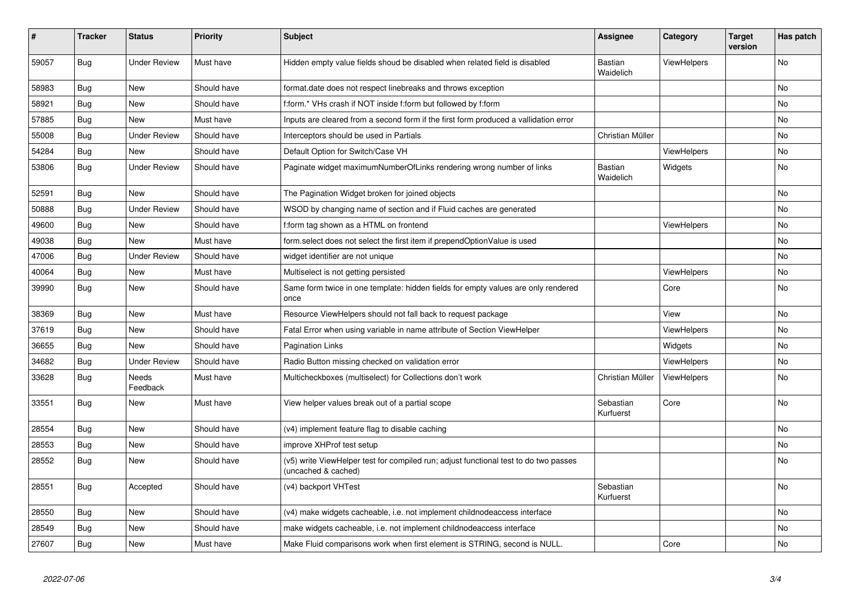| ∦     | <b>Tracker</b> | <b>Status</b>       | <b>Priority</b> | <b>Subject</b>                                                                                              | <b>Assignee</b>             | Category           | <b>Target</b><br>version | Has patch |
|-------|----------------|---------------------|-----------------|-------------------------------------------------------------------------------------------------------------|-----------------------------|--------------------|--------------------------|-----------|
| 59057 | Bug            | <b>Under Review</b> | Must have       | Hidden empty value fields shoud be disabled when related field is disabled                                  | <b>Bastian</b><br>Waidelich | ViewHelpers        |                          | <b>No</b> |
| 58983 | Bug            | <b>New</b>          | Should have     | format.date does not respect linebreaks and throws exception                                                |                             |                    |                          | <b>No</b> |
| 58921 | Bug            | <b>New</b>          | Should have     | f:form.* VHs crash if NOT inside f:form but followed by f:form                                              |                             |                    |                          | <b>No</b> |
| 57885 | Bug            | <b>New</b>          | Must have       | Inputs are cleared from a second form if the first form produced a vallidation error                        |                             |                    |                          | No        |
| 55008 | <b>Bug</b>     | <b>Under Review</b> | Should have     | Interceptors should be used in Partials                                                                     | Christian Müller            |                    |                          | <b>No</b> |
| 54284 | <b>Bug</b>     | New                 | Should have     | Default Option for Switch/Case VH                                                                           |                             | ViewHelpers        |                          | No        |
| 53806 | Bug            | <b>Under Review</b> | Should have     | Paginate widget maximumNumberOfLinks rendering wrong number of links                                        | Bastian<br>Waidelich        | Widgets            |                          | No        |
| 52591 | Bug            | New                 | Should have     | The Pagination Widget broken for joined objects                                                             |                             |                    |                          | <b>No</b> |
| 50888 | <b>Bug</b>     | <b>Under Review</b> | Should have     | WSOD by changing name of section and if Fluid caches are generated                                          |                             |                    |                          | <b>No</b> |
| 49600 | Bug            | New                 | Should have     | f:form tag shown as a HTML on frontend                                                                      |                             | ViewHelpers        |                          | <b>No</b> |
| 49038 | Bug            | <b>New</b>          | Must have       | form select does not select the first item if prependOptionValue is used                                    |                             |                    |                          | No        |
| 47006 | Bug            | <b>Under Review</b> | Should have     | widget identifier are not unique                                                                            |                             |                    |                          | No        |
| 40064 | Bug            | New                 | Must have       | Multiselect is not getting persisted                                                                        |                             | <b>ViewHelpers</b> |                          | <b>No</b> |
| 39990 | Bug            | New                 | Should have     | Same form twice in one template: hidden fields for empty values are only rendered<br>once                   |                             | Core               |                          | No        |
| 38369 | Bug            | <b>New</b>          | Must have       | Resource ViewHelpers should not fall back to request package                                                |                             | View               |                          | <b>No</b> |
| 37619 | Bug            | New                 | Should have     | Fatal Error when using variable in name attribute of Section ViewHelper                                     |                             | ViewHelpers        |                          | No        |
| 36655 | Bug            | <b>New</b>          | Should have     | <b>Pagination Links</b>                                                                                     |                             | Widgets            |                          | <b>No</b> |
| 34682 | Bug            | <b>Under Review</b> | Should have     | Radio Button missing checked on validation error                                                            |                             | <b>ViewHelpers</b> |                          | No        |
| 33628 | Bug            | Needs<br>Feedback   | Must have       | Multicheckboxes (multiselect) for Collections don't work                                                    | Christian Müller            | ViewHelpers        |                          | No        |
| 33551 | Bug            | New                 | Must have       | View helper values break out of a partial scope                                                             | Sebastian<br>Kurfuerst      | Core               |                          | No        |
| 28554 | <b>Bug</b>     | <b>New</b>          | Should have     | (v4) implement feature flag to disable caching                                                              |                             |                    |                          | <b>No</b> |
| 28553 | Bug            | New                 | Should have     | improve XHProf test setup                                                                                   |                             |                    |                          | No        |
| 28552 | Bug            | <b>New</b>          | Should have     | (v5) write ViewHelper test for compiled run; adjust functional test to do two passes<br>(uncached & cached) |                             |                    |                          | <b>No</b> |
| 28551 | <b>Bug</b>     | Accepted            | Should have     | (v4) backport VHTest                                                                                        | Sebastian<br>Kurfuerst      |                    |                          | No        |
| 28550 | Bug            | New                 | Should have     | (v4) make widgets cacheable, i.e. not implement childnodeaccess interface                                   |                             |                    |                          | No        |
| 28549 | Bug            | <b>New</b>          | Should have     | make widgets cacheable, i.e. not implement childnodeaccess interface                                        |                             |                    |                          | <b>No</b> |
| 27607 | <b>Bug</b>     | <b>New</b>          | Must have       | Make Fluid comparisons work when first element is STRING, second is NULL.                                   |                             | Core               |                          | <b>No</b> |